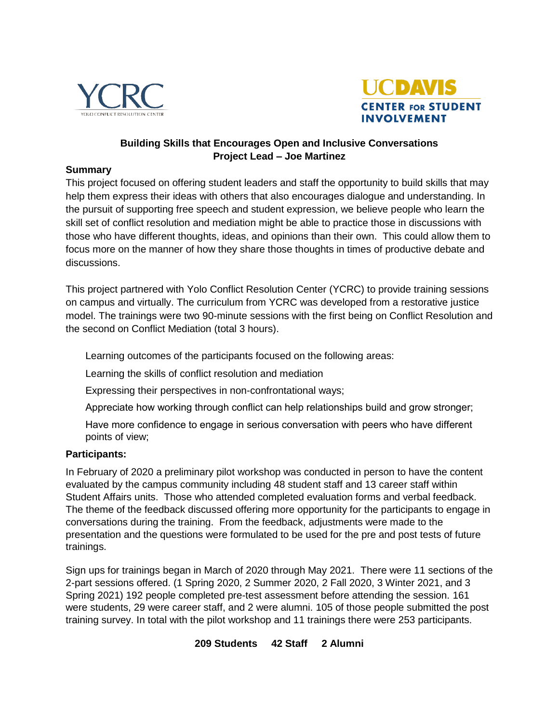



## **Building Skills that Encourages Open and Inclusive Conversations Project Lead – Joe Martinez**

#### **Summary**

This project focused on offering student leaders and staff the opportunity to build skills that may help them express their ideas with others that also encourages dialogue and understanding. In the pursuit of supporting free speech and student expression, we believe people who learn the skill set of conflict resolution and mediation might be able to practice those in discussions with those who have different thoughts, ideas, and opinions than their own. This could allow them to focus more on the manner of how they share those thoughts in times of productive debate and discussions.

This project partnered with Yolo Conflict Resolution Center (YCRC) to provide training sessions on campus and virtually. The curriculum from YCRC was developed from a restorative justice model. The trainings were two 90-minute sessions with the first being on Conflict Resolution and the second on Conflict Mediation (total 3 hours).

Learning outcomes of the participants focused on the following areas:

Learning the skills of conflict resolution and mediation

Expressing their perspectives in non-confrontational ways;

Appreciate how working through conflict can help relationships build and grow stronger;

Have more confidence to engage in serious conversation with peers who have different points of view;

## **Participants:**

In February of 2020 a preliminary pilot workshop was conducted in person to have the content evaluated by the campus community including 48 student staff and 13 career staff within Student Affairs units. Those who attended completed evaluation forms and verbal feedback. The theme of the feedback discussed offering more opportunity for the participants to engage in conversations during the training. From the feedback, adjustments were made to the presentation and the questions were formulated to be used for the pre and post tests of future trainings.

Sign ups for trainings began in March of 2020 through May 2021. There were 11 sections of the 2-part sessions offered. (1 Spring 2020, 2 Summer 2020, 2 Fall 2020, 3 Winter 2021, and 3 Spring 2021) 192 people completed pre-test assessment before attending the session. 161 were students, 29 were career staff, and 2 were alumni. 105 of those people submitted the post training survey. In total with the pilot workshop and 11 trainings there were 253 participants.

#### **209 Students 42 Staff 2 Alumni**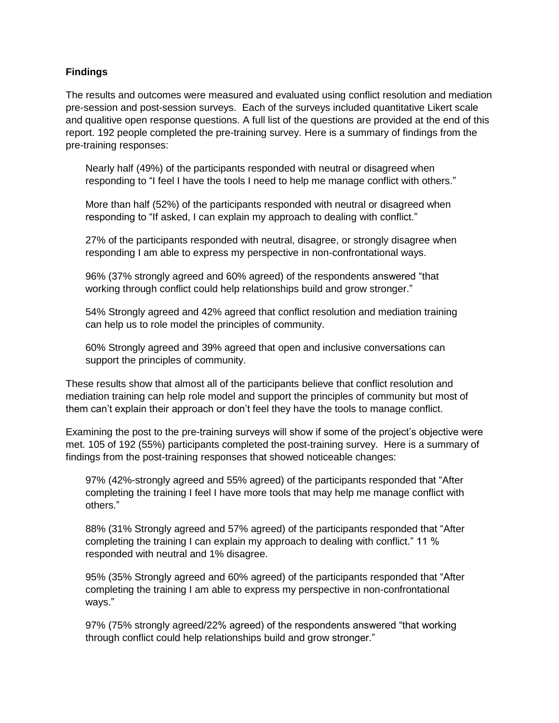## **Findings**

The results and outcomes were measured and evaluated using conflict resolution and mediation pre-session and post-session surveys. Each of the surveys included quantitative Likert scale and qualitive open response questions. A full list of the questions are provided at the end of this report. 192 people completed the pre-training survey. Here is a summary of findings from the pre-training responses:

Nearly half (49%) of the participants responded with neutral or disagreed when responding to "I feel I have the tools I need to help me manage conflict with others."

More than half (52%) of the participants responded with neutral or disagreed when responding to "If asked, I can explain my approach to dealing with conflict."

27% of the participants responded with neutral, disagree, or strongly disagree when responding I am able to express my perspective in non-confrontational ways.

96% (37% strongly agreed and 60% agreed) of the respondents answered "that working through conflict could help relationships build and grow stronger."

54% Strongly agreed and 42% agreed that conflict resolution and mediation training can help us to role model the principles of community.

60% Strongly agreed and 39% agreed that open and inclusive conversations can support the principles of community.

These results show that almost all of the participants believe that conflict resolution and mediation training can help role model and support the principles of community but most of them can't explain their approach or don't feel they have the tools to manage conflict.

Examining the post to the pre-training surveys will show if some of the project's objective were met. 105 of 192 (55%) participants completed the post-training survey. Here is a summary of findings from the post-training responses that showed noticeable changes:

97% (42%-strongly agreed and 55% agreed) of the participants responded that "After completing the training I feel I have more tools that may help me manage conflict with others."

88% (31% Strongly agreed and 57% agreed) of the participants responded that "After completing the training I can explain my approach to dealing with conflict." 11 % responded with neutral and 1% disagree.

95% (35% Strongly agreed and 60% agreed) of the participants responded that "After completing the training I am able to express my perspective in non-confrontational ways."

97% (75% strongly agreed/22% agreed) of the respondents answered "that working through conflict could help relationships build and grow stronger."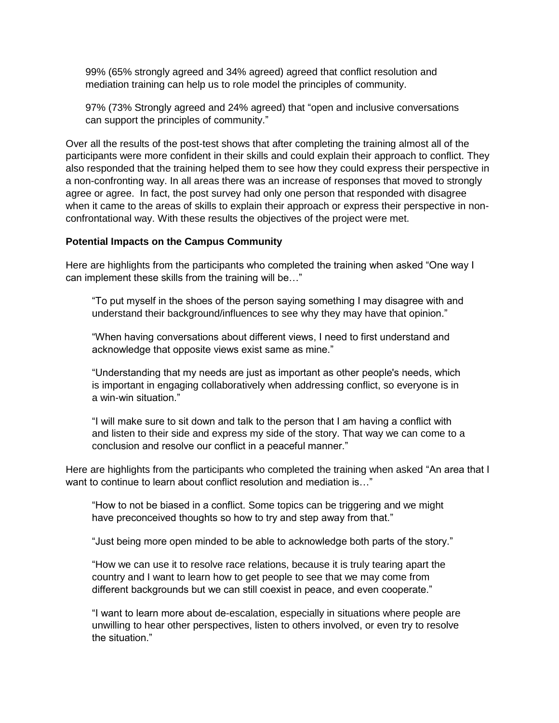99% (65% strongly agreed and 34% agreed) agreed that conflict resolution and mediation training can help us to role model the principles of community.

97% (73% Strongly agreed and 24% agreed) that "open and inclusive conversations can support the principles of community."

Over all the results of the post-test shows that after completing the training almost all of the participants were more confident in their skills and could explain their approach to conflict. They also responded that the training helped them to see how they could express their perspective in a non-confronting way. In all areas there was an increase of responses that moved to strongly agree or agree. In fact, the post survey had only one person that responded with disagree when it came to the areas of skills to explain their approach or express their perspective in nonconfrontational way. With these results the objectives of the project were met.

#### **Potential Impacts on the Campus Community**

Here are highlights from the participants who completed the training when asked "One way I can implement these skills from the training will be…"

"To put myself in the shoes of the person saying something I may disagree with and understand their background/influences to see why they may have that opinion."

"When having conversations about different views, I need to first understand and acknowledge that opposite views exist same as mine."

"Understanding that my needs are just as important as other people's needs, which is important in engaging collaboratively when addressing conflict, so everyone is in a win-win situation."

"I will make sure to sit down and talk to the person that I am having a conflict with and listen to their side and express my side of the story. That way we can come to a conclusion and resolve our conflict in a peaceful manner."

Here are highlights from the participants who completed the training when asked "An area that I want to continue to learn about conflict resolution and mediation is..."

"How to not be biased in a conflict. Some topics can be triggering and we might have preconceived thoughts so how to try and step away from that."

"Just being more open minded to be able to acknowledge both parts of the story."

"How we can use it to resolve race relations, because it is truly tearing apart the country and I want to learn how to get people to see that we may come from different backgrounds but we can still coexist in peace, and even cooperate."

"I want to learn more about de-escalation, especially in situations where people are unwilling to hear other perspectives, listen to others involved, or even try to resolve the situation."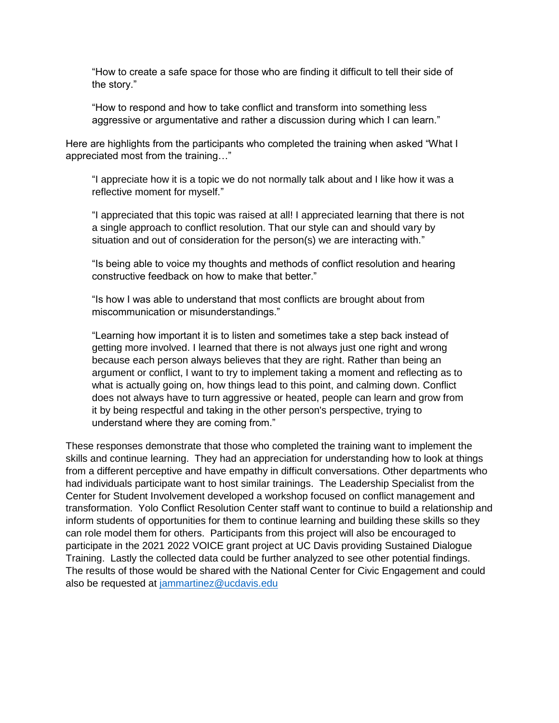"How to create a safe space for those who are finding it difficult to tell their side of the story."

"How to respond and how to take conflict and transform into something less aggressive or argumentative and rather a discussion during which I can learn."

Here are highlights from the participants who completed the training when asked "What I appreciated most from the training…"

"I appreciate how it is a topic we do not normally talk about and I like how it was a reflective moment for myself."

"I appreciated that this topic was raised at all! I appreciated learning that there is not a single approach to conflict resolution. That our style can and should vary by situation and out of consideration for the person(s) we are interacting with."

"Is being able to voice my thoughts and methods of conflict resolution and hearing constructive feedback on how to make that better."

"Is how I was able to understand that most conflicts are brought about from miscommunication or misunderstandings."

"Learning how important it is to listen and sometimes take a step back instead of getting more involved. I learned that there is not always just one right and wrong because each person always believes that they are right. Rather than being an argument or conflict, I want to try to implement taking a moment and reflecting as to what is actually going on, how things lead to this point, and calming down. Conflict does not always have to turn aggressive or heated, people can learn and grow from it by being respectful and taking in the other person's perspective, trying to understand where they are coming from."

These responses demonstrate that those who completed the training want to implement the skills and continue learning. They had an appreciation for understanding how to look at things from a different perceptive and have empathy in difficult conversations. Other departments who had individuals participate want to host similar trainings. The Leadership Specialist from the Center for Student Involvement developed a workshop focused on conflict management and transformation. Yolo Conflict Resolution Center staff want to continue to build a relationship and inform students of opportunities for them to continue learning and building these skills so they can role model them for others. Participants from this project will also be encouraged to participate in the 2021 2022 VOICE grant project at UC Davis providing Sustained Dialogue Training. Lastly the collected data could be further analyzed to see other potential findings. The results of those would be shared with the National Center for Civic Engagement and could also be requested at [jammartinez@ucdavis.edu](mailto:jammartinez@ucdavis.edu)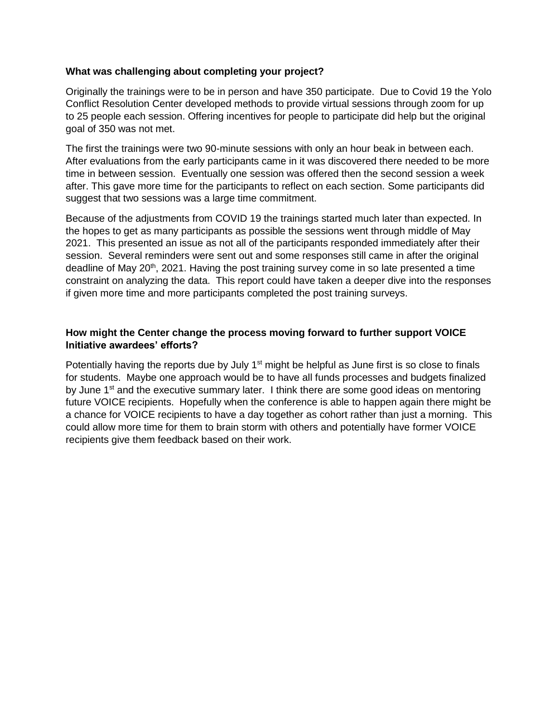#### **What was challenging about completing your project?**

Originally the trainings were to be in person and have 350 participate. Due to Covid 19 the Yolo Conflict Resolution Center developed methods to provide virtual sessions through zoom for up to 25 people each session. Offering incentives for people to participate did help but the original goal of 350 was not met.

The first the trainings were two 90-minute sessions with only an hour beak in between each. After evaluations from the early participants came in it was discovered there needed to be more time in between session. Eventually one session was offered then the second session a week after. This gave more time for the participants to reflect on each section. Some participants did suggest that two sessions was a large time commitment.

Because of the adjustments from COVID 19 the trainings started much later than expected. In the hopes to get as many participants as possible the sessions went through middle of May 2021. This presented an issue as not all of the participants responded immediately after their session. Several reminders were sent out and some responses still came in after the original deadline of May  $20<sup>th</sup>$ , 2021. Having the post training survey come in so late presented a time constraint on analyzing the data. This report could have taken a deeper dive into the responses if given more time and more participants completed the post training surveys.

## **How might the Center change the process moving forward to further support VOICE Initiative awardees' efforts?**

Potentially having the reports due by July  $1<sup>st</sup>$  might be helpful as June first is so close to finals for students. Maybe one approach would be to have all funds processes and budgets finalized by June  $1<sup>st</sup>$  and the executive summary later. I think there are some good ideas on mentoring future VOICE recipients. Hopefully when the conference is able to happen again there might be a chance for VOICE recipients to have a day together as cohort rather than just a morning. This could allow more time for them to brain storm with others and potentially have former VOICE recipients give them feedback based on their work.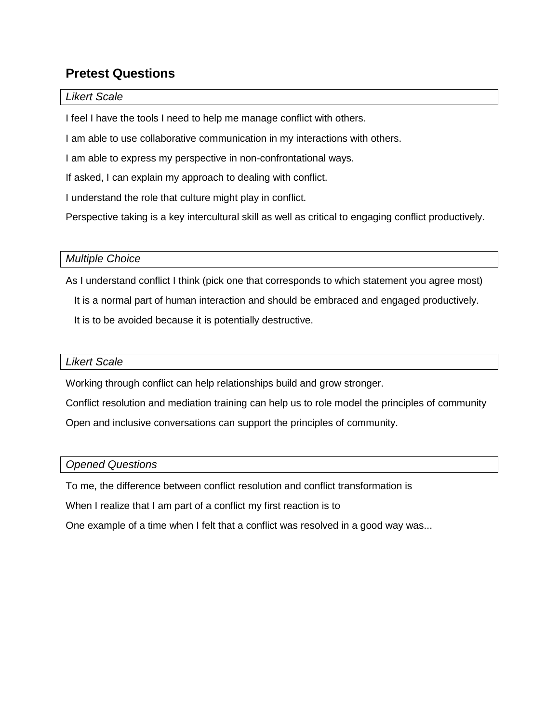# **Pretest Questions**

## *Likert Scale*

I feel I have the tools I need to help me manage conflict with others.

I am able to use collaborative communication in my interactions with others.

I am able to express my perspective in non-confrontational ways.

If asked, I can explain my approach to dealing with conflict.

I understand the role that culture might play in conflict.

Perspective taking is a key intercultural skill as well as critical to engaging conflict productively.

## *Multiple Choice*

As I understand conflict I think (pick one that corresponds to which statement you agree most)

It is a normal part of human interaction and should be embraced and engaged productively.

It is to be avoided because it is potentially destructive.

## *Likert Scale*

Working through conflict can help relationships build and grow stronger.

Conflict resolution and mediation training can help us to role model the principles of community

Open and inclusive conversations can support the principles of community.

## *Opened Questions*

To me, the difference between conflict resolution and conflict transformation is

When I realize that I am part of a conflict my first reaction is to

One example of a time when I felt that a conflict was resolved in a good way was...